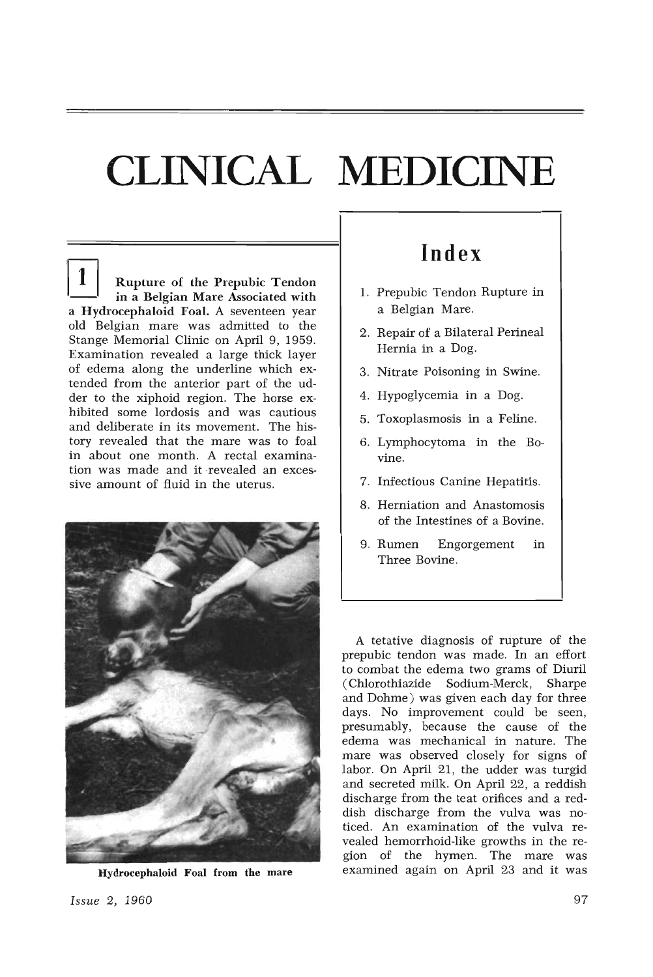## **CLINICAL MEDICINE**

Rupture of the Prepubic Tendon in a Belgian Mare Associated with a Hydrocephaloid Foal. A seventeen year old Belgian mare was admitted to the Stange Memorial Clinic on April 9, 1959. Examination revealed a large thick layer of edema along the underline which extended from the anterior part of the udder to the xiphoid region. The horse exhibited some lordosis and was cautious and deliberate in its movement. The history revealed that the mare was to foal in about one month. A rectal examination was made and it revealed an excessive amount of fluid in the uterus.



Hydrocephaloid Foal from the mare

## **Index**

- 1. Prepubic Tendon Rupture in a Belgian Mare.
- 2. Repair of a Bilateral Perineal Hernia in a Dog.
- 3. Nitrate Poisoning in Swine.
- 4. Hypoglycemia in a Dog.
- 5. Toxoplasmosis in a Feline.
- 6. Lymphocytoma in the Bovine.
- 7. Infectious Canine Hepatitis.
- 8. Herniation and Anastomosis of the Intestines of a Bovine.
- 9. Rumen Engorgement in Three Bovine.

A tetative diagnosis of rupture of the prepubic tendon was made. In an effort to combat the edema two grams of Diuril (Chlorothiazide Sodium-Merck, Sharpe and Dohme) was given each day for three days. No improvement could be seen, presumably, because the cause of the edema was mechanical in nature. The mare was observed closely for signs of labor. On April 21, the udder was turgid and secreted milk. On April 22, a reddish discharge from the teat orifices and a reddish discharge from the vulva was noticed. An examination of the vulva revealed hemorrhoid-like growths in the region of the hymen. The mare was examined again on April 23 and it was

*Issue* 2, 1960